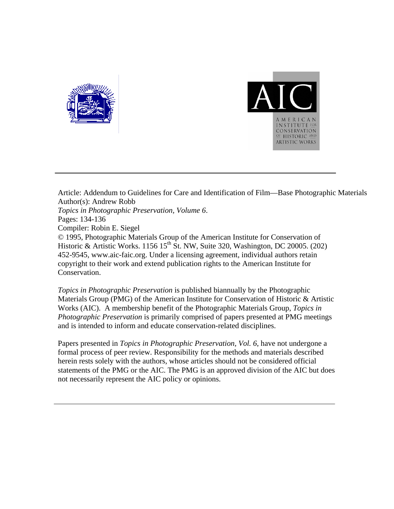



Article: Addendum to Guidelines for Care and Identification of Film—Base Photographic Materials Author(s): Andrew Robb *Topics in Photographic Preservation, Volume 6*. Pages: 134-136 Compiler: Robin E. Siegel © 1995, Photographic Materials Group of the American Institute for Conservation of Historic & Artistic Works. 1156 15<sup>th</sup> St. NW, Suite 320, Washington, DC 20005. (202) 452-9545, www.aic-faic.org. Under a licensing agreement, individual authors retain copyright to their work and extend publication rights to the American Institute for Conservation.

*Topics in Photographic Preservation* is published biannually by the Photographic Materials Group (PMG) of the American Institute for Conservation of Historic & Artistic Works (AIC). A membership benefit of the Photographic Materials Group, *Topics in Photographic Preservation* is primarily comprised of papers presented at PMG meetings and is intended to inform and educate conservation-related disciplines.

Papers presented in *Topics in Photographic Preservation, Vol. 6*, have not undergone a formal process of peer review. Responsibility for the methods and materials described herein rests solely with the authors, whose articles should not be considered official statements of the PMG or the AIC. The PMG is an approved division of the AIC but does not necessarily represent the AIC policy or opinions.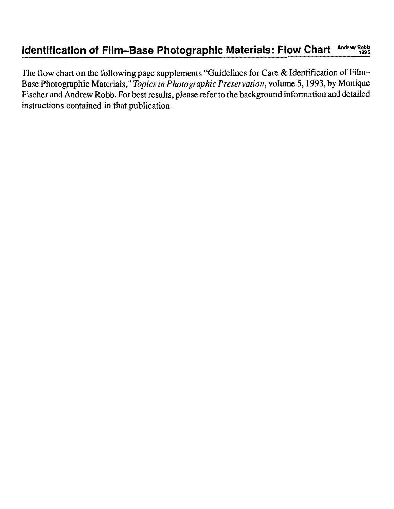# **Identification of Film-Base Photographic Materials: Flow Chart Andrew Robb 1995**

The flow chart on the following page supplements "Guidelines for Care & Identification of Film-Base Photographic Materials," *Topics in Photographic Preservation,* volume *5,1993,* by Monique Fischer and Andrew Robb. For best results, please refer to the background information and detailed instructions contained in that publication.